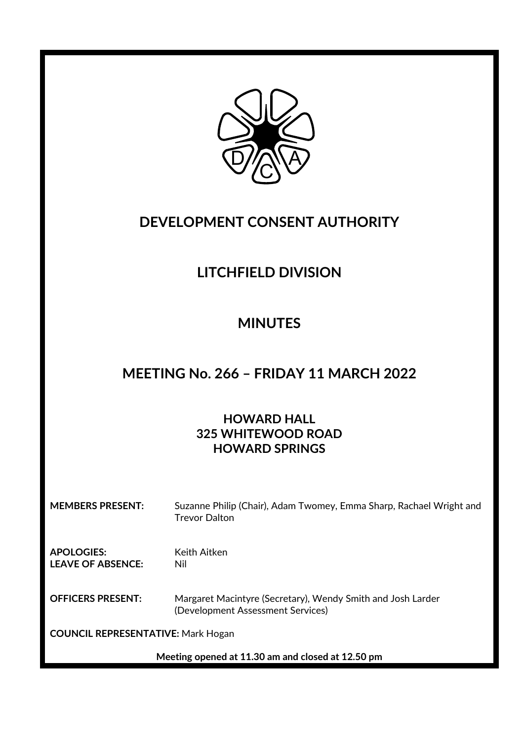

## **DEVELOPMENT CONSENT AUTHORITY**

# **LITCHFIELD DIVISION**

## **MINUTES**

### **MEETING No. 266 – FRIDAY 11 MARCH 2022**

### **HOWARD HALL 325 WHITEWOOD ROAD HOWARD SPRINGS**

**MEMBERS PRESENT:** Suzanne Philip (Chair), Adam Twomey, Emma Sharp, Rachael Wright and Trevor Dalton

**APOLOGIES:** Keith Aitken **LEAVE OF ABSENCE:** Nil

**OFFICERS PRESENT:** Margaret Macintyre (Secretary), Wendy Smith and Josh Larder (Development Assessment Services)

**COUNCIL REPRESENTATIVE:** Mark Hogan

**Meeting opened at 11.30 am and closed at 12.50 pm**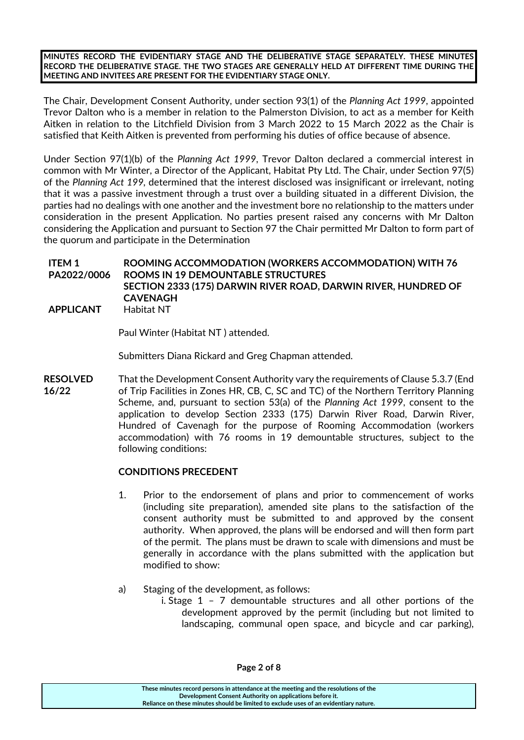**MINUTES RECORD THE EVIDENTIARY STAGE AND THE DELIBERATIVE STAGE SEPARATELY. THESE MINUTES RECORD THE DELIBERATIVE STAGE. THE TWO STAGES ARE GENERALLY HELD AT DIFFERENT TIME DURING THE MEETING AND INVITEES ARE PRESENT FOR THE EVIDENTIARY STAGE ONLY.**

The Chair, Development Consent Authority, under section 93(1) of the *Planning Act 1999*, appointed Trevor Dalton who is a member in relation to the Palmerston Division, to act as a member for Keith Aitken in relation to the Litchfield Division from 3 March 2022 to 15 March 2022 as the Chair is satisfied that Keith Aitken is prevented from performing his duties of office because of absence.

Under Section 97(1)(b) of the *Planning Act 1999*, Trevor Dalton declared a commercial interest in common with Mr Winter, a Director of the Applicant, Habitat Pty Ltd. The Chair, under Section 97(5) of the *Planning Act 199,* determined that the interest disclosed was insignificant or irrelevant, noting that it was a passive investment through a trust over a building situated in a different Division, the parties had no dealings with one another and the investment bore no relationship to the matters under consideration in the present Application. No parties present raised any concerns with Mr Dalton considering the Application and pursuant to Section 97 the Chair permitted Mr Dalton to form part of the quorum and participate in the Determination

**ITEM 1 PA2022/0006 ROOMING ACCOMMODATION (WORKERS ACCOMMODATION) WITH 76 ROOMS IN 19 DEMOUNTABLE STRUCTURES SECTION 2333 (175) DARWIN RIVER ROAD, DARWIN RIVER, HUNDRED OF CAVENAGH APPLICANT** Habitat NT

Paul Winter (Habitat NT ) attended.

Submitters Diana Rickard and Greg Chapman attended.

**RESOLVED** That the Development Consent Authority vary the requirements of Clause 5.3.7 (End **16/22** of Trip Facilities in Zones HR, CB, C, SC and TC) of the Northern Territory Planning Scheme, and, pursuant to section 53(a) of the *Planning Act 1999*, consent to the application to develop Section 2333 (175) Darwin River Road, Darwin River, Hundred of Cavenagh for the purpose of Rooming Accommodation (workers accommodation) with 76 rooms in 19 demountable structures, subject to the following conditions:

#### **CONDITIONS PRECEDENT**

- 1. Prior to the endorsement of plans and prior to commencement of works (including site preparation), amended site plans to the satisfaction of the consent authority must be submitted to and approved by the consent authority. When approved, the plans will be endorsed and will then form part of the permit. The plans must be drawn to scale with dimensions and must be generally in accordance with the plans submitted with the application but modified to show:
- a) Staging of the development, as follows:
	- i. Stage 1 7 demountable structures and all other portions of the development approved by the permit (including but not limited to landscaping, communal open space, and bicycle and car parking),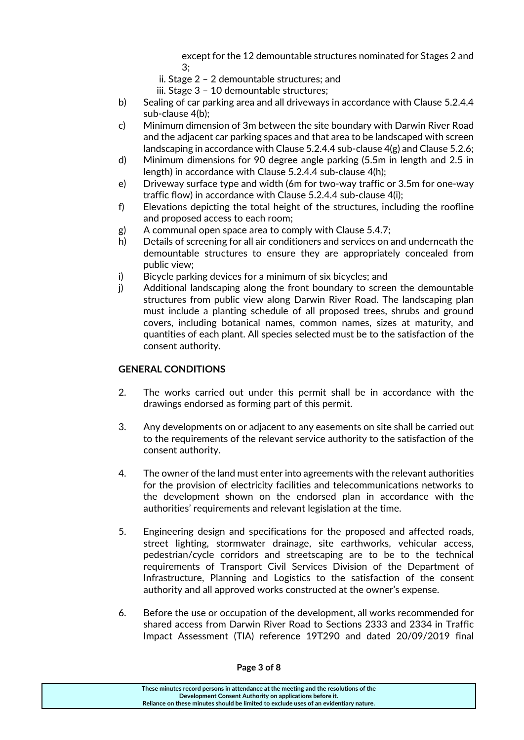except for the 12 demountable structures nominated for Stages 2 and 3;

- ii. Stage 2 2 demountable structures; and
- iii. Stage 3 10 demountable structures;
- b) Sealing of car parking area and all driveways in accordance with Clause 5.2.4.4 sub‐clause 4(b);
- c) Minimum dimension of 3m between the site boundary with Darwin River Road and the adjacent car parking spaces and that area to be landscaped with screen landscaping in accordance with Clause 5.2.4.4 sub-clause 4(g) and Clause 5.2.6;
- d) Minimum dimensions for 90 degree angle parking (5.5m in length and 2.5 in length) in accordance with Clause 5.2.4.4 sub-clause 4(h);
- e) Driveway surface type and width (6m for two‐way traffic or 3.5m for one‐way traffic flow) in accordance with Clause 5.2.4.4 sub‐clause 4(i);
- f) Elevations depicting the total height of the structures, including the roofline and proposed access to each room;
- g) A communal open space area to comply with Clause 5.4.7;
- h) Details of screening for all air conditioners and services on and underneath the demountable structures to ensure they are appropriately concealed from public view;
- i) Bicycle parking devices for a minimum of six bicycles; and
- j) Additional landscaping along the front boundary to screen the demountable structures from public view along Darwin River Road. The landscaping plan must include a planting schedule of all proposed trees, shrubs and ground covers, including botanical names, common names, sizes at maturity, and quantities of each plant. All species selected must be to the satisfaction of the consent authority.

#### **GENERAL CONDITIONS**

- 2. The works carried out under this permit shall be in accordance with the drawings endorsed as forming part of this permit.
- 3. Any developments on or adjacent to any easements on site shall be carried out to the requirements of the relevant service authority to the satisfaction of the consent authority.
- 4. The owner of the land must enter into agreements with the relevant authorities for the provision of electricity facilities and telecommunications networks to the development shown on the endorsed plan in accordance with the authorities' requirements and relevant legislation at the time.
- 5. Engineering design and specifications for the proposed and affected roads, street lighting, stormwater drainage, site earthworks, vehicular access, pedestrian/cycle corridors and streetscaping are to be to the technical requirements of Transport Civil Services Division of the Department of Infrastructure, Planning and Logistics to the satisfaction of the consent authority and all approved works constructed at the owner's expense.
- 6. Before the use or occupation of the development, all works recommended for shared access from Darwin River Road to Sections 2333 and 2334 in Traffic Impact Assessment (TIA) reference 19T290 and dated 20/09/2019 final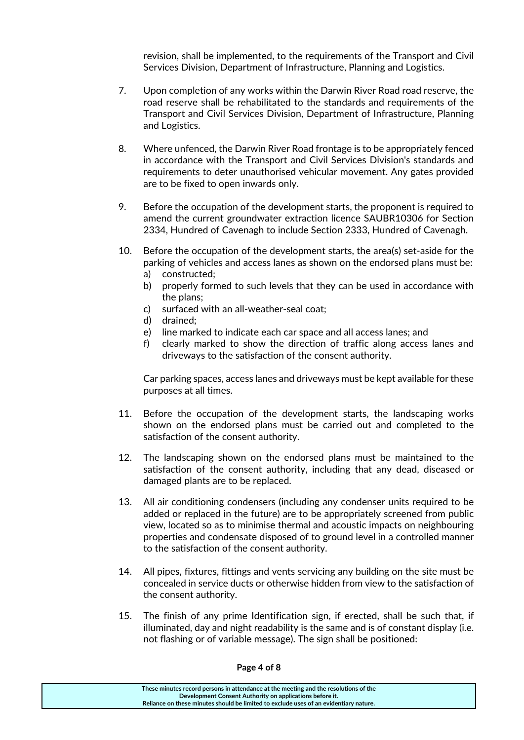revision, shall be implemented, to the requirements of the Transport and Civil Services Division, Department of Infrastructure, Planning and Logistics.

- 7. Upon completion of any works within the Darwin River Road road reserve, the road reserve shall be rehabilitated to the standards and requirements of the Transport and Civil Services Division, Department of Infrastructure, Planning and Logistics.
- 8. Where unfenced, the Darwin River Road frontage is to be appropriately fenced in accordance with the Transport and Civil Services Division's standards and requirements to deter unauthorised vehicular movement. Any gates provided are to be fixed to open inwards only.
- 9. Before the occupation of the development starts, the proponent is required to amend the current groundwater extraction licence SAUBR10306 for Section 2334, Hundred of Cavenagh to include Section 2333, Hundred of Cavenagh.
- 10. Before the occupation of the development starts, the area(s) set‐aside for the parking of vehicles and access lanes as shown on the endorsed plans must be: a) constructed;
	- b) properly formed to such levels that they can be used in accordance with the plans;
	- c) surfaced with an all‐weather‐seal coat;
	- d) drained;
	- e) line marked to indicate each car space and all access lanes; and
	- f) clearly marked to show the direction of traffic along access lanes and driveways to the satisfaction of the consent authority.

Car parking spaces, access lanes and driveways must be kept available for these purposes at all times.

- 11. Before the occupation of the development starts, the landscaping works shown on the endorsed plans must be carried out and completed to the satisfaction of the consent authority.
- 12. The landscaping shown on the endorsed plans must be maintained to the satisfaction of the consent authority, including that any dead, diseased or damaged plants are to be replaced.
- 13. All air conditioning condensers (including any condenser units required to be added or replaced in the future) are to be appropriately screened from public view, located so as to minimise thermal and acoustic impacts on neighbouring properties and condensate disposed of to ground level in a controlled manner to the satisfaction of the consent authority.
- 14. All pipes, fixtures, fittings and vents servicing any building on the site must be concealed in service ducts or otherwise hidden from view to the satisfaction of the consent authority.
- 15. The finish of any prime Identification sign, if erected, shall be such that, if illuminated, day and night readability is the same and is of constant display (i.e. not flashing or of variable message). The sign shall be positioned: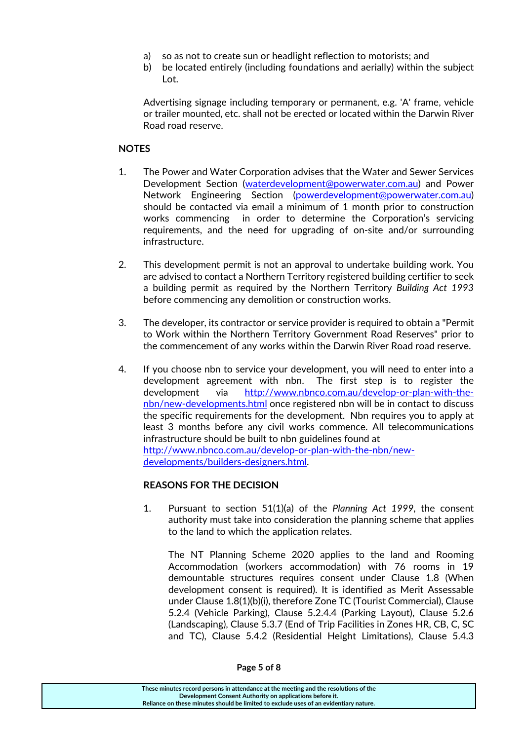- a) so as not to create sun or headlight reflection to motorists; and
- b) be located entirely (including foundations and aerially) within the subject Lot.

Advertising signage including temporary or permanent, e.g. 'A' frame, vehicle or trailer mounted, etc. shall not be erected or located within the Darwin River Road road reserve.

#### **NOTES**

- 1. The Power and Water Corporation advises that the Water and Sewer Services Development Section (waterdevelopment@powerwater.com.au) and Power Network Engineering Section (powerdevelopment@powerwater.com.au) should be contacted via email a minimum of 1 month prior to construction works commencing in order to determine the Corporation's servicing requirements, and the need for upgrading of on‐site and/or surrounding infrastructure.
- 2. This development permit is not an approval to undertake building work. You are advised to contact a Northern Territory registered building certifier to seek a building permit as required by the Northern Territory *Building Act 1993* before commencing any demolition or construction works.
- 3. The developer, its contractor or service provider is required to obtain a "Permit to Work within the Northern Territory Government Road Reserves" prior to the commencement of any works within the Darwin River Road road reserve.
- 4. If you choose nbn to service your development, you will need to enter into a development agreement with nbn. The first step is to register the development via http://www.nbnco.com.au/develop-or-plan-with-thenbn/new‐developments.html once registered nbn will be in contact to discuss the specific requirements for the development. Nbn requires you to apply at least 3 months before any civil works commence. All telecommunications infrastructure should be built to nbn guidelines found at http://www.nbnco.com.au/develop‐or‐plan‐with‐the‐nbn/new‐ developments/builders‐designers.html.

#### **REASONS FOR THE DECISION**

1. Pursuant to section 51(1)(a) of the *Planning Act 1999,* the consent authority must take into consideration the planning scheme that applies to the land to which the application relates.

The NT Planning Scheme 2020 applies to the land and Rooming Accommodation (workers accommodation) with 76 rooms in 19 demountable structures requires consent under Clause 1.8 (When development consent is required). It is identified as Merit Assessable under Clause 1.8(1)(b)(i), therefore Zone TC (Tourist Commercial), Clause 5.2.4 (Vehicle Parking), Clause 5.2.4.4 (Parking Layout), Clause 5.2.6 (Landscaping), Clause 5.3.7 (End of Trip Facilities in Zones HR, CB, C, SC and TC), Clause 5.4.2 (Residential Height Limitations), Clause 5.4.3

**These minutes record persons in attendance at the meeting and the resolutions of the Development Consent Authority on applications before it. Reliance on these minutes should be limited to exclude uses of an evidentiary nature.**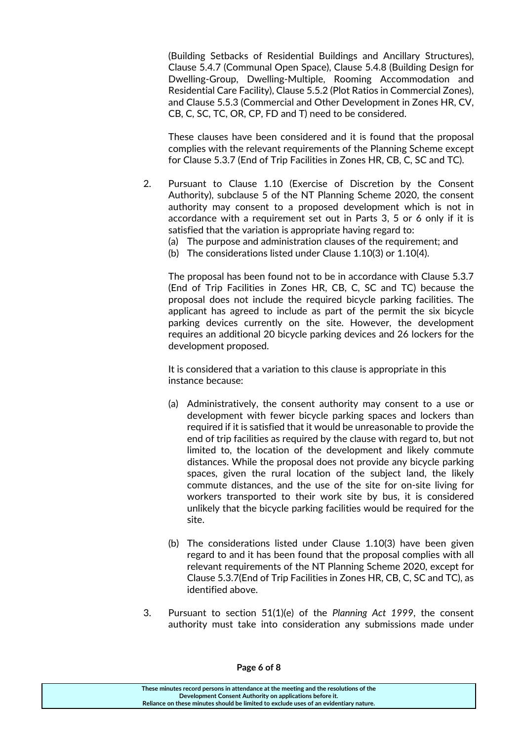(Building Setbacks of Residential Buildings and Ancillary Structures), Clause 5.4.7 (Communal Open Space), Clause 5.4.8 (Building Design for Dwelling‐Group, Dwelling‐Multiple, Rooming Accommodation and Residential Care Facility), Clause 5.5.2 (Plot Ratios in Commercial Zones), and Clause 5.5.3 (Commercial and Other Development in Zones HR, CV, CB, C, SC, TC, OR, CP, FD and T) need to be considered.

These clauses have been considered and it is found that the proposal complies with the relevant requirements of the Planning Scheme except for Clause 5.3.7 (End of Trip Facilities in Zones HR, CB, C, SC and TC).

2. Pursuant to Clause 1.10 (Exercise of Discretion by the Consent Authority), subclause 5 of the NT Planning Scheme 2020, the consent authority may consent to a proposed development which is not in accordance with a requirement set out in Parts 3, 5 or 6 only if it is satisfied that the variation is appropriate having regard to:

(a) The purpose and administration clauses of the requirement; and

(b) The considerations listed under Clause 1.10(3) or 1.10(4).

The proposal has been found not to be in accordance with Clause 5.3.7 (End of Trip Facilities in Zones HR, CB, C, SC and TC) because the proposal does not include the required bicycle parking facilities. The applicant has agreed to include as part of the permit the six bicycle parking devices currently on the site. However, the development requires an additional 20 bicycle parking devices and 26 lockers for the development proposed.

It is considered that a variation to this clause is appropriate in this instance because:

- (a) Administratively, the consent authority may consent to a use or development with fewer bicycle parking spaces and lockers than required if it is satisfied that it would be unreasonable to provide the end of trip facilities as required by the clause with regard to, but not limited to, the location of the development and likely commute distances. While the proposal does not provide any bicycle parking spaces, given the rural location of the subject land, the likely commute distances, and the use of the site for on‐site living for workers transported to their work site by bus, it is considered unlikely that the bicycle parking facilities would be required for the site.
- (b) The considerations listed under Clause 1.10(3) have been given regard to and it has been found that the proposal complies with all relevant requirements of the NT Planning Scheme 2020, except for Clause 5.3.7(End of Trip Facilities in Zones HR, CB, C, SC and TC), as identified above.
- 3. Pursuant to section 51(1)(e) of the *Planning Act 1999*, the consent authority must take into consideration any submissions made under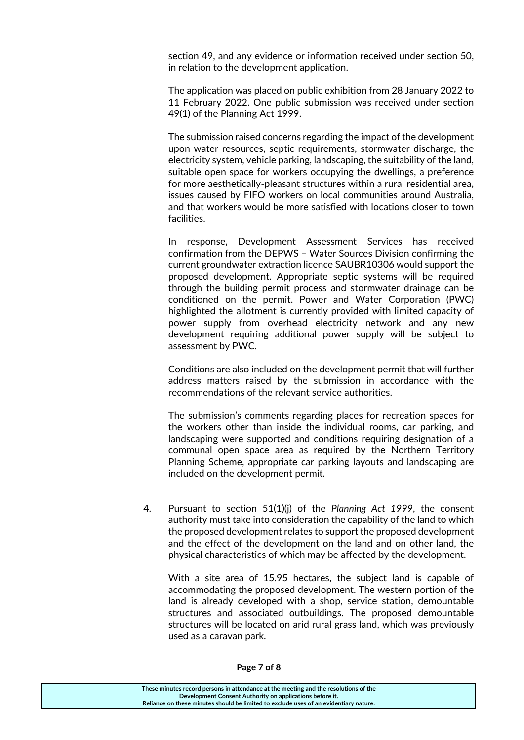section 49, and any evidence or information received under section 50, in relation to the development application.

The application was placed on public exhibition from 28 January 2022 to 11 February 2022. One public submission was received under section 49(1) of the Planning Act 1999.

The submission raised concerns regarding the impact of the development upon water resources, septic requirements, stormwater discharge, the electricity system, vehicle parking, landscaping, the suitability of the land, suitable open space for workers occupying the dwellings, a preference for more aesthetically-pleasant structures within a rural residential area, issues caused by FIFO workers on local communities around Australia, and that workers would be more satisfied with locations closer to town facilities.

In response, Development Assessment Services has received confirmation from the DEPWS – Water Sources Division confirming the current groundwater extraction licence SAUBR10306 would support the proposed development. Appropriate septic systems will be required through the building permit process and stormwater drainage can be conditioned on the permit. Power and Water Corporation (PWC) highlighted the allotment is currently provided with limited capacity of power supply from overhead electricity network and any new development requiring additional power supply will be subject to assessment by PWC.

Conditions are also included on the development permit that will further address matters raised by the submission in accordance with the recommendations of the relevant service authorities.

The submission's comments regarding places for recreation spaces for the workers other than inside the individual rooms, car parking, and landscaping were supported and conditions requiring designation of a communal open space area as required by the Northern Territory Planning Scheme, appropriate car parking layouts and landscaping are included on the development permit.

4. Pursuant to section 51(1)(j) of the *Planning Act 1999*, the consent authority must take into consideration the capability of the land to which the proposed development relates to support the proposed development and the effect of the development on the land and on other land, the physical characteristics of which may be affected by the development.

With a site area of 15.95 hectares, the subject land is capable of accommodating the proposed development. The western portion of the land is already developed with a shop, service station, demountable structures and associated outbuildings. The proposed demountable structures will be located on arid rural grass land, which was previously used as a caravan park.

#### **Page 7 of 8**